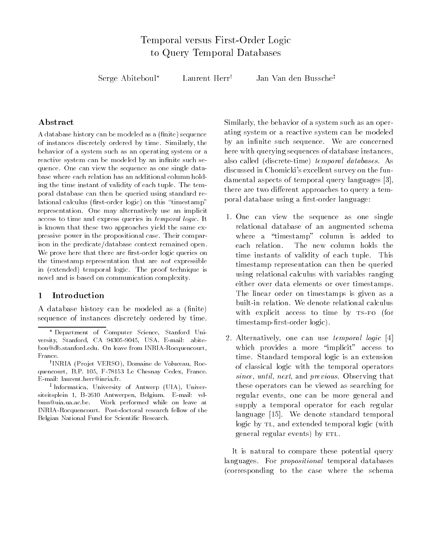Serge Abiteboul<sup>\*</sup> Laurent Herr<sup>†</sup> Jan Van den Bussche<sup>‡</sup>

# Abstract

a se modeled as a nite-sequence as a nite-sequence as a nite-sequence of the modeled as a nite-sequence of the of instances discretely ordered by time. Similarly, the behavior of a system such as an operating system or a reactive system can be modeled by an infinite such sequence One can view the sequence as one single data base where each relation has an additional column hold ing the time instant of validity of each tuple. The temporal database can then be queried using standard re lational calculus rstorder logic- on this timestamp representation. One may alternatively use an implicit access to time and express queries in temporal logic It is known that these two approaches yield the same ex pressive power in the propositional case Their compar ison in the predicate/database context remained open. We prove here that there are first-order logic queries on the timestamp representation that are not expressible in temporal construction is proof the proof telescopies in the proof technique is a second to the proof of the novel and is based on communication complexity

## Introduction

A database history can be modeled as a (finite) sequence of instances discretely ordered by time

Similarly the behavior of a system such as an oper ating system or a reactive system can be modeled by an infinite such sequence. We are concerned here with querying sequences of database instances also called discretetime- temporal databases As discussed in Chomicki's excellent survey on the fundamental aspects of temporal query languages [3], there are two discusses to discusse there are two discusses to discusse the control of the control of the control of the control of the control of the control of the control of the control of the control of the control of poral database using a first-order language:

- 1. One can view the sequence as one single relational database of an augmented schema where a "timestamp" column is added to each relation. The new column holds the time instants of validity of each tuple. This timestamp representation can then be queried using relational calculus with variables ranging either over data elements or over timestamps The linear order on timestamps is given as a built-in relation. We denote relational calculus with explicit access to time by  $TS-FO$  (for timestamprstorder logic-
- 2. Alternatively, one can use *temporal logic* [4] which provides a more "implicit" access to time. Standard temporal logic is an extension of classical logic with the temporal operators since, until, next, and previous. Observing that these operators can be viewed as searching for regular events, one can be more general and supply a temporal operator for each regular language [15]. We denote standard temporal logic by TL, and extended temporal logic (with  $g_{\text{c}}$  and  $g_{\text{c}}$  regular events-

It is natural to compare these potential query languages. For *propositional* temporal databases corresponding to the case where the schema

Department of Computer Science Stanford Uni versity standard care control care control abitem standard bou@db.stanford.edu. On leave from INRIA-Rocquencourt, France

<sup>&#</sup>x27;INRIA (Projet VERSO), Domaine de Voluceau, Rocquencourt, B.P. 105, F-78153 Le Chesnay Cedex, France.  $E$ -mail: laurent.herr@inria.fr.

<sup>&#</sup>x27;Informatica, University of Antwerp (UIA), Universiteitsplein 1, B-2610 Antwerpen, Belgium. E-mail: vdbuss@uia.ua.ac.be. Work performed while on leave at INRIA-Rocquencourt. Post-doctoral research fellow of the Belgian National Fund for Scientific Research.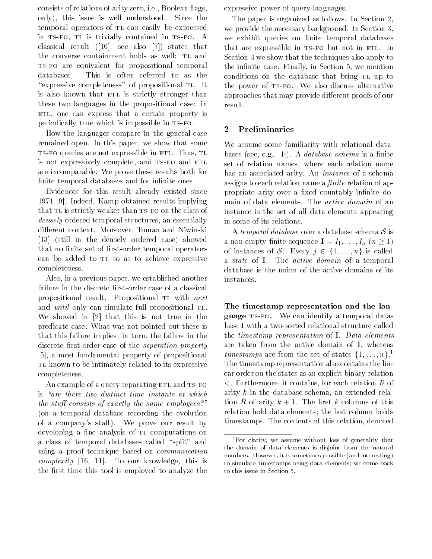consists of relations of arity zero, i.e., Boolean flags, only-this issue is the issue is well understood Since the Since the Since the Since the Since the Since the Si temporal operators of TL can easily be expressed in TS-FO, TL is trivially contained in TS-FO. A  $\mathbf{r}$  result is also that the states that is also that is also that is also that is also that is also that is also that is also that is also that is also that is also that is also that is also that is also that is also the converse containment holds as well: TL and TS-FO are equivalent for propositional temporal databases This is often referred to as the "expressive completeness" of propositional TL. It is also known that ETL is strictly stronger than these two languages in the propositional case: in ETL, one can express that a certain property is periodically true which is impossible in TS-FO.

How the languages compare in the general case remained open. In this paper, we show that some TS-FO queries are not expressible in ETL. Thus, TL is not expressively complete, and TS-FO and ETL are incomparable. We prove these results both for finite temporal databases and for infinite ones.

Evidences for this result already existed since 1971 [9]. Indeed, Kamp obtained results implying that TL is strictly weaker than TS-FO on the class of densely ordered temporal structures, an essentially die erent die erent die erent die gewone die die erenten die erenten die erenten die erenten die erenten die e  still in the densely ordered case- showed that no finite set of first-order temporal operators can be added to TL so as to achieve expressive completeness

Also, in a previous paper, we established another failure in the discrete first-order case of a classical propositional result. Propositional TL with next and *until* only can simulate full propositional TL. We showed in  $\lceil 2 \rceil$  that this is not true in the predicate case. What was not pointed out there is that this failure implies, in turn, the failure in the discrete first-order case of the separation property [5], a most fundamental property of propositional TL known to be intimately related to its expressive completeness

An example of a query separating ETL and TS-FO is "are there two distinct time instants at which the state construction of exactly the same employees-same employees-same employees-same employees-same employeeson a temporal database recording the evolution of a company statistic prove our results of developing a fine analysis of TL computations on a class of temporal databases called "split" and using a proof technique based on communication  $complexity$  [16, 11]. To our knowledge, this is the first time this tool is employed to analyze the

expressive power of query languages

The paper is organized as follows. In Section 2, we provide the necessary background. In Section 3, we exhibit queries on finite temporal databases that are expressible in TS-FO but not in ETL. In Section 4 we show that the techniques also apply to the infinite case. Finally, in Section 5, we mention conditions on the database that bring TL up to the power of TS-FO. We also discuss alternative approaches that may provide di erent proofs of our result

### Preliminaries  $\overline{2}$

We assume some familiarity with relational data bases see eg en databases see eg en databases see eg en database schema is a nite schema is a nite schema is a set of relation names, where each relation name has an associated arity. An *instance* of a schema assigns to each relation name a  $finite$  relation of appropriate arity over a fixed countably infinite domain of data elements. The active domain of an instance is the set of all data elements appearing in some of its relations

A temporal database over a database schema  $S$  is a non-empty finite sequence  $I = I_1, \ldots, I_n$   $(n \geq 1)$ of instances of S. Every  $j \in \{1, \ldots, n\}$  is called a *state* of **I**. The *active domain* of a temporal database is the union of the active domains of its instances

The timestamp representation and the lan $g_{\text{avg}}$  is for the can identify a temporal data base I with a two-sorted relational structure called the *timestamp* representation of  $I$ . Data elements are taken from the active domain of  $I$ , whereas *timestamps* are from the set of states  $\{1, \ldots, n\}$ <sup>1</sup> The timestamp representation also contains the lin ear order on the states as an explicit binary relation - The contains for the contains for each relation of the contact  $\mathbb{R}^n$ arity  $k$  in the database schema, an extended relation  $R$  or arrive  $\pi$   $\tau$  is the motor columns of this relation hold data elements; the last column holds timestamps. The contents of this relation, denoted

<sup>&</sup>lt;sup>1</sup>For clarity, we assume without loss of generality that the domain of data elements is disjoint from the natural numbers However it is some interesting possible (interesting interesting) to simulate timestamps using data elements; we come back to this issue in Section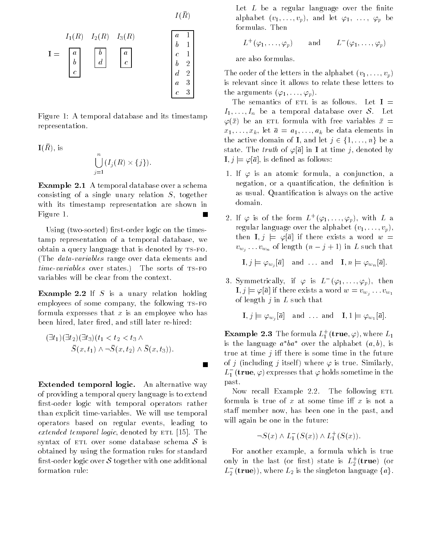$$
I(\bar{R})
$$

$$
I_3(R) \qquad \qquad \boxed{\frac{a-1}{}}
$$



Figure 1: A temporal database and its timestamp representation

$$
\mathbf{I}(\bar{R}), \text{ is}
$$
\n
$$
\bigcup_{j=1}^{n} (I_j(R) \times \{j\}).
$$

 $I_1(R)$ 

 $I_2(R)$ 

 $\bf{Example 2.1}$  A temporal database over a schema consisting of a single unary relation  $S$ , together with its timestamp representation are shown in Figure 1.

Using two stores are the times of times of the times of times of the times of times of times of times of times tamp representation of a temporal database, we obtain a query language that is denoted by  $TS-FO$ . (The *data-variables* range over data elements and time times-the states-states- states-the-sorts of the sorts of the sorts of the sorts of the sorts of the sorts variables will be clear from the context

**Example 2.2** If  $\beta$  is a unary relation holding employees of some company, the following TS-FO formula expresses that x is an employee who has been hired, later fired, and still later re-hired:

 $\blacksquare$ 

$$
(\exists t_1)(\exists t_2)(\exists t_3)(t_1 < t_2 < t_3 \wedge \overline{S}(x, t_1) \wedge \neg \overline{S}(x, t_2) \wedge \overline{S}(x, t_3)).
$$

Extended temporal logic An alternative way of providing a temporal query language is to extend first-order logic with temporal operators rather than explicit time-variables. We will use temporal operators based on regular events, leading to extended temporal logic, denoted by  $ETL$  [15]. The syntax of ETL over some database schema  $S$  is obtained by using the formation rules for standard first-order logic over  $S$  together with one additional formation rule

Let  $L$  be a regular language over the finite alphabet  $\{v_1, \ldots, v_p\}$ , and i.e.  $r_1, \ldots, r_p$  be formulas. Then

$$
L^+(\varphi_1,\ldots,\varphi_p) \qquad \text{and} \qquad L^-(\varphi_1,\ldots,\varphi_p)
$$

are also formulas

The order of the letters in the alphabet  $(v_1, \ldots, v_p)$ is relevant since it allows to relate these letters to  $\sum_{i=1}^{\infty}$  arguments  $\sum_{i=1}^{\infty}$ 

The semantics of ETL is as follows. Let  $I =$  $I_1, \ldots, I_n$  be a temporal database over S. Let part and the community of the community of the community of the community of the community of the community of  $x_1, \ldots, x_k$ , let  $\bar{a} = a_1, \ldots, a_k$  be data elements in the active domain of **I**, and let  $j \in \{1, \ldots, n\}$  be a state. The truth of  $\varphi[\bar{a}]$  in **I** at time j, denoted by  $\mathbf{I}, j \models \varphi[\bar{a}],$  is defined as follows:

- 1. If  $\varphi$  is an atomic formula, a conjunction, a negation, or a quantification, the definition is as usual. Quantification is always on the active domain
- 2. If  $\varphi$  is of the form  $L^+(\varphi_1,\ldots,\varphi_n)$ , with  $L$  a regular language over the alphabet  $\{v_1, \ldots, v_p\}$ then  $I, j \models \varphi[\bar{a}]$  if there exists a word  $w =$  $v_{w_i} \ldots v_{w_n}$  of length  $(n-j+1)$  in L such that

 $\mathbf{I},j\models \varphi_{{w}_i}[\bar{a}]\quad\text{and}\quad\ldots\text{ and}\quad \mathbf{I},n\models \varphi_{{w}_n}[\bar{a}].$ 

3. Symmetrically, if  $\varphi$  is  $L^-(\varphi_1,\ldots,\varphi_n)$ , then  $\mathbf{I},j\models\varphi[\bar{a}]$  if there exists a word  $w=v_{w_j}\ldots v_{w_1}$ of length  $j$  in  $L$  such that

 $\mathbf{I}, j \models \varphi_{w_j}[\bar{a}] \quad \text{and} \quad \ldots \text{ and} \quad \mathbf{I}, 1 \models \varphi_{w_1}[\bar{a}].$ 

**Example 2.3** The formula  $L_1^+$  (true,  $\varphi$ ), where  $L_1^$ is the language  $a^*ba^*$  over the alphabet  $(a, b)$ , is true at time j in there is some time in the future of j jestelf stelf j finale j itself - it true Similarly, and the similar similar similar similar similar simi  $L_1^-$  (true,  $\varphi$ ) expresses that  $\varphi$  holds sometime in the past

Now recall Example 2.2. The following ETL state now has been one in the past and the past and the past and the past and the past and the past and the pas will again be one in the future:

$$
\neg S(x) \wedge L_1^-(S(x)) \wedge L_1^+(S(x))
$$

For another example, a formula which is true only in the last (or first) state is  $L_2^{\scriptscriptstyle +}$  (**true**) (or  $L_2^-({\bf true})),$  where  $L_2$  is the singleton language  $\{a\}.$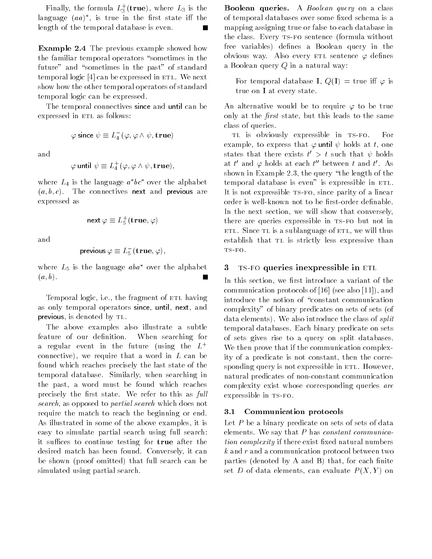rinally, the formula  $L_3^+(\mathbf{true}),$  where  $L_3$  is the language  $(aa)^*$ , is true in the first state iff the length of the temporal database is even

 $\mathbf{L}$  and  $\mathbf{L}$  are previous example showed how the familiar temporal operators 
sometimes in the future" and "sometimes in the past" of standard temporal logic  $[4]$  can be expressed in ETL. We next show how the other temporal operators of standard temporal logic can be expressed

The temporal connectives since and until can be expressed in ETL as follows:

$$
\varphi \text{ since } \psi \equiv L_4^-(\varphi, \varphi \wedge \psi, \text{true})
$$

and

$$
\varphi \text{ until } \psi \equiv L_4^+(\varphi, \varphi \wedge \psi, \text{true}),
$$

where  $L_4$  is the language  $a^*bc^*$  over the alphabet  $\{w, v, v\}$ . Incording the next which previous are expressed as

next 
$$
\varphi \equiv L_5^+(true, \varphi)
$$

and

$$
\textsf{previous}\,\varphi\equiv L_5^-(\mathbf{true},\varphi),
$$

where  $L_5$  is the language  $aba^*$  over the alphabet  $\cdots$ 

Temporal logic, i.e., the fragment of ETL having as only temporal operators since, until, next, and previous, is denoted by TL.

The above examples also illustrate a subtle feature of our definition. When searching for a regular event in the future (using the  $L^+$ connective, we require that a word in L can be word in found which reaches precisely the last state of the temporal database. Similarly, when searching in the past, a word must be found which reaches precisely the first state. We refer to this as full search, as opposed to partial search which does not require the match to reach the beginning or end As illustrated in some of the above examples, it is easy to simulate partial search using full search it suffices to continue testing for true after the desired match has been found. Conversely, it can be shown proof omitted- that full search can be simulated using partial search

**Boolean queries.** A *Boolean* query on a class of temporal databases over some fixed schema is a mapping assigning true or false to each database in the class. Every TS-FO sentence (formula without free variables- denes a Boolean query in the obvious way. Also every ETL sentence  $\varphi$  defines a Boolean query  $Q$  in a natural way:

 $\mathcal{L}$  or temporal database in  $\mathcal{L}$  ,  $\mathcal{L}$  ,  $\mathcal{L}$  ,  $\mathcal{L}$  ,  $\mathcal{L}$  ,  $\mathcal{L}$  ,  $\mathcal{L}$ true on <sup>I</sup> at every state

An alternative would be to require  $\varphi$  to be true only at the *first* state, but this leads to the same class of queries

TL is obviously expressible in TS-FO. For example, to express that  $\varphi$  until  $\psi$  holds at t, one states that there exists  $t' > t$  such that  $\psi$  holds at  $t'$  and  $\varphi$  holds at each  $t''$  between  $t$  and  $t'$ . As shown in Example 2.3, the query "the length of the  $temporal database$  is even" is expressible in  $ETL$ . It is not expressible TS-FO, since parity of a linear order is well-known not to be first-order definable. In the next section, we will show that conversely, there are queries expressible in TS-FO but not in ETL. Since TL is a sublanguage of ETL, we will thus establish that TL is strictly less expressive than

#### $\bf{3}$ TS-FO queries inexpressible in ETL

In this section, we first introduce a variant of the communication of the communication of  $\mathbf{N}$  and  $\mathbf{N}$  are contributions of the communication of the communication of the communication of the communication of the communication of the communication of the communicat introduce the notion of "constant communication complexity" of binary predicates on sets of sets (of data elements-we also introduce the class of splitters of splitters of splitters of splitters of splitters of s temporal databases Each binary predicate on sets of sets gives rise to a query on split databases We then prove that if the communication complex ity of a predicate is not constant, then the corresponding query is not expressible in ETL. However, natural predicates of non-constant communication complexity exist whose corresponding queries are expressible in TS-FO.

#### $3.1$ Communication protocols

Let  $P$  be a binary predicate on sets of sets of data elements. We say that  $P$  has *constant communica*tion complexity if there exist fixed natural numbers  $k$  and  $r$  and a communication protocol between two parties denoted by A and B- that for each nite set D of data clements, can evaluate P (21, 1) on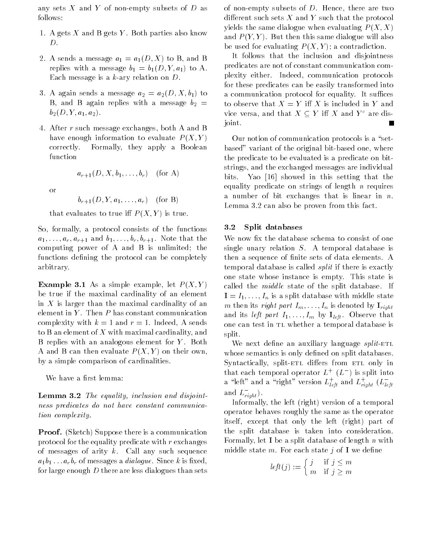any sets  $X$  and  $Y$  of non-empty subsets of  $D$  as follows

- 1. A gets X and B gets Y. Both parties also know  $D.$
- $\mathbb{L}$ . It sends a message  $\alpha_1$   $\alpha_1$  ( $\beta$ ),  $\alpha$   $\beta$ ), and  $\beta$  $\mathcal{L}$  is a message b  $\mathcal{L}$  ,  $\mathcal{L}$  ,  $\mathcal{L}$  ,  $\mathcal{L}$  ,  $\mathcal{L}$  ,  $\mathcal{L}$  ,  $\mathcal{L}$  ,  $\mathcal{L}$ Each message is a  $k$ -ary relation on  $D$ .
- $\alpha$ . It again sends a message  $\alpha_2$   $\alpha_2$   $\alpha_3$   $\beta_4$ . B, and B again replies with a message  $b_2 =$  $\sim$   $\angle$   $\sim$   $\sim$   $\angle$   $\sim$   $\angle$   $\sim$
- 4. After r such message exchanges, both A and B have enough information to evaluate  $P(X, Y)$ correctly. Formally, they apply a Boolean function

$$
a_{r+1}(D, X, b_1, \ldots, b_r) \quad \text{(for A)}
$$

or

$$
b_{r+1}(D, Y, a_1, \ldots, a_r) \quad \text{(for B)}
$$

 $\sum_{i=1}^{n}$  . The state is the  $\sum_{i=1}^{n}$  is true.

So, formally, a protocol consists of the functions  $a_1, \ldots, a_r, a_{r+1}$  and  $b_1, \ldots, b_r, b_{r+1}$ . Note that the computing power of  $A$  and  $B$  is unlimited; the functions defining the protocol can be completely arbitrary

**Example 0.1** As a simple example, let  $P(X, I)$ be true if the maximal cardinality of an element in  $X$  is larger than the maximal cardinality of an element in  $Y$ . Then  $P$  has constant communication complexity with  $k=1$  and  $r=1$ . Indeed, A sends to B an element of X with maximal cardinality, and B replies with an analogous element for  $Y$ . Both er what B can then evaluate P yer per then own, by a simple comparison of cardinalities

We have a first lemma:

 $\bf$ **Lemma 0.2** The equality inclusion and disjointness predicates do not have constant communica tion complexity

 $\mathbf{r}$  , suppose there is a communication protocol for the equality predicate with  $r$  exchanges of messages of arity  $k$ . Call any such sequence  $a_1b_1 \ldots a_rb_r$  of messages a *dialogue*. Since k is fixed, for large enough  $D$  there are less dialogues than sets

of non-empty subsets of  $D$ . Hence, there are two adistication and which the protocol that the protocol that the protocol that the protocol that the protocol th yields the same dialogue when evaluating  $P(X, X)$ and P (P Y P H & CHOIL CHID Same dialogue will also  $b \circ a$  about  $\circ a \circ b$  . We also contradictive  $\circ a \circ b$  of  $\circ a \circ b$ 

It follows that the inclusion and disjointness predicates are not of constant communication com plexity either. Indeed, communication protocols for these predicates can be easily transformed into a communication protocol for equality. It suffices to observe that it is in the second in the second in  $\mathcal{L}$ vice versa, and that  $X\subseteq Y$  iff  $X$  and  $Y^c$  are disjoint

Our notion of communication protocols is a "setbased" variant of the original bit-based one, where the predicate to be evaluated is a predicate on bit strings, and the exchanged messages are individual bits. Yao [16] showed in this setting that the equality predicate on strings of length  $n$  requires a number of bit exchanges that is linear in  $n$ . Lemma  $3.2$  can also be proven from this fact.

#### $3.2\,$ Split databases

We now fix the database schema to consist of one single unary relation  $S$ . A temporal database is then a sequence of finite sets of data elements. A temporal database is called split if there is exactly one state whose instance is empty. This state is called the *middle* state of the split database. If  $\blacksquare$   $\blacksquare$  I  $\blacksquare$  is a spine database with middle state m then its right part  $I_m, \ldots, I_n$  is denoted by  $\mathbf{I}_{right}$ and its *left part*  $I_1, \ldots, I_m$  by  $I_{left}$ . Observe that one can test in TL whether a temporal database is split

We next define an auxiliary language  $split$ -ETL whose semantics is only defined on split databases. ers from extensively supposed to different distance and an extensively interest on the contract of the contract of  $\mathcal{S}$ that each temporal operator  $L^+$  ( $L^-$ ) is split into a "left" and a "right" version  $L_{\,leftet}^{\mp}$  and  $L_{\,rightth}^{\mp}$  ( $L_{\,leftth}^{\mp}$ and  $L_{right}^{-}$ ). right

Informally the left right-definition of a temporal  $\mathcal{L}$  right-definition of a temporal  $\mathcal{L}$ operator behaves roughly the same as the operator itself except that only the left right-definition of the left right-definition of the left right-definition of the split database is taken into consideration Formally, let **I** be a split database of length  $n$  with middle state m. For each state j of I we define

$$
left(j) := \begin{cases} j & \text{if } j \le m \\ m & \text{if } j \ge m \end{cases}
$$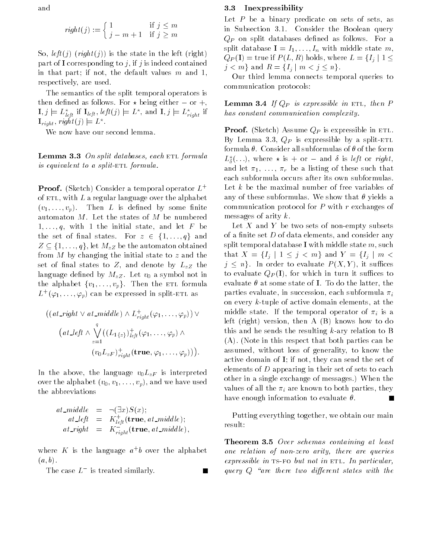and

$$
right(j) := \begin{cases} 1 & \text{if } j \le m \\ j - m + 1 & \text{if } j \ge m \end{cases}
$$

so is the state in the state in the state in the state in the state in the state  $\mathcal{L}_i$ part of I corresponding to j, if j is indeed contained in that part; if not, the default values  $m$  and 1, respectively, are used.

The semantics of the split temporal operators is then defined as follows. For  $\star$  being either  $-$  or  $+$ ,  $\mathbf{I},j\models L^{\star}_{left}$  if  $\mathbf{I}_{left},left$   $left(j\right)\models L^{\star},$  and  $\mathbf{I},j\models L^{\star}_{right}$  if  $\mathbf{I}_{right}, right(j) \models L^{\star}.$ 

We now have our second lemma.

**Lemma 3.3** On spin databases, each et formula is equivalent to a split- $ETL$  formula.

**Proof.** (Sketch) Consider a temporal operator  $L^+$ of  $ETL$ , with  $L$  a regular language over the alphabet  $\{v_1, \ldots, v_p\}$  . Then B is defined by some nite of automaton  $M$ . Let the states of  $M$  be numbered  $1, \ldots, q$ , with 1 the initial state, and let F be the set of final states. For  $z \in \{1, \ldots, q\}$  and  $Z \subseteq \{1, \ldots, q\}$ , let  $M_{zZ}$  be the automaton obtained from  $M$  by changing the initial state to  $z$  and the set of final states to  $Z$ , and denote by  $L_{zZ}$  the language defined by  $M_{zZ}$ . Let  $v_0$  a symbol not in the alphabet  $\{v_1, \ldots, v_p\}$ . Then the ETL formula  $L^+(\varphi_1,\ldots,\varphi_p)$  can be expressed in split-ETL as

$$
((at\_right \vee at\_middle) \wedge L_{right}^{+}(\varphi_{1}, \ldots, \varphi_{p})) \vee (at\_left \wedge \bigvee_{z=1}^{q} ((L_{1\{z\}})_{left}^{+}(\varphi_{1}, \ldots, \varphi_{p}) \wedge _{z=1}^{q} (v_{0}L_{zF})_{right}^{+}(\mathbf{true}, \varphi_{1}, \ldots, \varphi_{p})).
$$

In the above, the language  $v_0L_{zF}$  is interpreted  $\sigma$  . The alphabet  $\{v_0, v_1, \ldots, v_p\}$  , which we have used  $\sigma$ the abbreviations

$$
at\_middle = \neg(\exists x)S(x);
$$
  
\n
$$
at\_left = K_{left}^{+}(true, at\_middle);
$$
  
\n
$$
at\_right = K_{right}^{-}(true, at\_middle),
$$
  
\n
$$
at\_right = K_{right}^{-}(true, at\_middle),
$$

where  $K$  is the language  $a \cdot b$  over the alphabet  $\cdots$ ,  $\cdots$ ,  $\cdots$ 

The case  $L^-$  is treated similarly.

#### $3.3$ Inexpressibility

Let  $P$  be a binary predicate on sets of sets, as in Subsection 3.1. Consider the Boolean query  $Q_P$  on split databases defined as follows. For a split database  $I = I_1, \ldots, I_n$  with middle state m,  $Q_P({\bf I})={\rm true}$  if  $P(L,R)$  holds, where  $L=\{I_j\mid 1\leq k\}$  $j < m$ } and  $R = \{I_j \mid m < j \leq n\}$ .

Our third lemma connects temporal queries to communication protocols

**Lemma**  $J$ **.**  $I$   $Q$   $P$  is copicssible in eight, then  $I$ has constant communication complexity.

 $\mathbf{F}$  recent  $\{S_{\text{max}}\}$  is expressible in ett. By Lemma 3.3,  $Q_P$  is expressible by a split-ETL formula  $\theta$ . Consider all subformulas of  $\theta$  of the form  $L_{\delta}^{s}(\ldots),$  where  $\star$  is  $+$  or  $-$  and  $\sigma$  is left or right, and let  $\pi_1, \ldots, \pi_r$  be a listing of these such that each subformula occurs after its own subformulas Let k be the maximal number of free variables of any of these subformulas. We show that  $\theta$  yields a communication protocol for <sup>P</sup> with <sup>r</sup> exchanges of messages of arity  $k$ .

Let  $X$  and  $Y$  be two sets of non-empty subsets of a finite set  $D$  of data elements, and consider any split temporal database I with middle state  $m$ , such that  $X = \{I_j \mid 1 \leq j < m\}$  and  $Y = \{I_j \mid m < j\}$  $j \leq n$ . In order to evaluate  $P(X, Y)$ , it suffices to evaluate QP I- for which in turn it suces to evaluate  $\theta$  at some state of I. To do the latter, the parties evaluate, in succession, each subformula  $\pi_i$ on every  $k$ -tuple of active domain elements, at the middle state. If the temporal operator of  $\pi_i$  is a left right- version then A B- knows how to do this and he sends the resulting  $k$ -ary relation to B A- Note in this respect that both parties can be assumed, without loss of generality, to know the active domain of  $I$ ; if not, they can send the set of elements of  $D$  appearing in their set of sets to each other in a single exchange of messages-state of messages-state of messages-state of messages-state of messagesvalues of all the  $\pi_i$  are known to both parties, they have enough information to evaluate  $\theta$ .

Putting everything together, we obtain our main result

**Theorem** *O***.** Over schemas containing at least one relation of nonzero arity there are queries  $expressible$  in TS-FO but not in ETL. In particular, query  $Q$  "are there two different states with the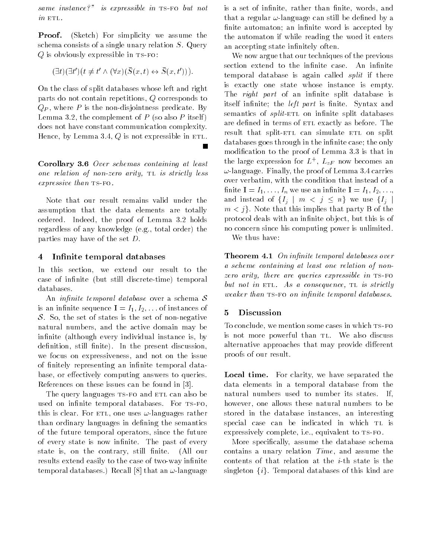same instance- is expression in the expression  $in$   $ETL$ .

Proof $\sim$  simplicity we assume that  $\sim$  simplicity we assume that  $\sim$ schema consists of a single unary relation  $S$ . Query  $Q$  is obviously expressible in  $TS-FO$ :

 $(\exists t)(\exists t')$  $(t \neq t' \wedge (\forall x)(\overline{S}(x,t) \leftrightarrow \overline{S}(x,t'))).$ 

On the class of split databases whose left and right parts do not contain repetitions,  $Q$  corresponds to  $Q_P$ , where P is the non-disjointness predicate. By Lemma 3.2, the complement of P (so also P itself) does not have constant communication complexity Hence, by Lemma 3.4,  $Q$  is not expressible in ETL.

Corollary Over schemas containing at least one relation of non-zero arity,  $TL$  is strictly less  $expressive than TS-FO.$ 

Note that our result remains valid under the assumption that the data elements are totally ordered. Indeed, the proof of Lemma 3.2 holds regardless of any knowledge eg total order- the parties may have of the set  $D$ .

# 4 Infinite temporal databases

In this section, we extend our result to the case of innite but still discrete but still discrete but still discrete but still discrete but still discrete databases

An *infinite temporal database* over a schema  $S$ is an infinite sequence  $I = I_1, I_2, \ldots$  of instances of S. So, the set of states is the set of non-negative natural numbers, and the active domain may be infinite (although every individual instance is, by denition still nite-term in the present discussion still nite-term in the present discussion of the present discussion of the present discussion of the present discussion of the present discussion of the present discussion we focus on expressiveness, and not on the issue of finitely representing an infinite temporal database or e ectively computing answers to queries References on these issues can be found in 

The query languages TS-FO and ETL can also be used on infinite temporal databases. For TS-FO, this is clear For etl one uses languages rather than ordinary languages in defining the semantics of the future temporal operators, since the future of every state is now infinite. The past of every state is, on the contrary, still finite. (All our results extend easily to the case of two-way infinite term por an enter an entry or control of the case of the control of the control of the control of the control o is a set of infinite, rather than finite, words, and that a regular of the group can still be dened by a finite automaton; an infinite word is accepted by the automaton if while reading the word it enters an accepting state infinitely often.

We now argue that our techniques of the previous section extend to the infinite case. An infinite temporal database is again called *split* if there is exactly one state whose instance is empty The *right part* of an infinite split database is itself infinite; the *left part* is finite. Syntax and semantics of *split*-ETL on infinite split databases are defined in terms of ETL exactly as before. The result that split-ETL can simulate ETL on split databases goes through in the infinite case; the only modification to the proof of Lemma 3.3 is that in the large expression for  $L^+$ ,  $L_{zF}$  now becomes an language Finally the proof of Lemma structures in over verbatim, with the condition that instead of a finite  $I = I_1, \ldots, I_n$  we use an infinite  $I = I_1, I_2, \ldots, I_n$ and instead of  $\{I_j\mid m\,<\,j\,\leq\,n\}$  we use  $\{I_j\mid m\leq j\leq n\}$  $m < j$ . Note that this implies that party B of the protocol deals with an infinite object, but this is of no concern since his computing power is unlimited We thus have:

**THEOREM F.I** On infinite temporal databases over a scheme containing at least one relation of non zero arity, there are queries expressible in  $TS-FO$ but not in ETL. As a consequence, TL is strictly weaker than  $TS-FO$  on infinite temporal databases.

# Discussion

To conclude, we mention some cases in which TS-FO is not more powerful than TL. We also discuss alternative approaches that may provide di erent proofs of our result

Local time. For clarity, we have separated the data elements in a temporal database from the natural numbers used to number its states. If, however, one allows these natural numbers to be stored in the database instances, an interesting special case can be indicated in which TL is expressively complete, i.e., equivalent to TS-FO.

More specifically, assume the database schema contains a unary relation  $Time$ , and assume the contents of that relation at the  $i$ -th state is the singleton  $\{i\}$ . Temporal databases of this kind are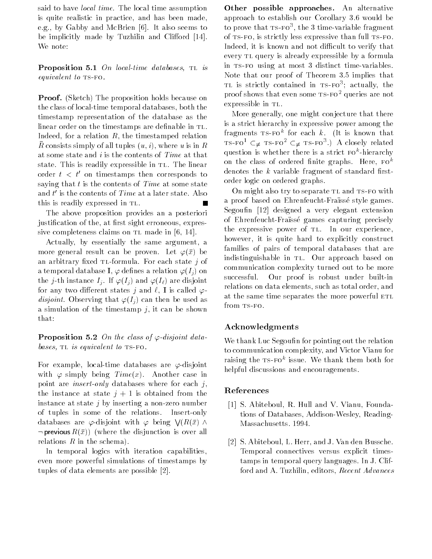said to have *local time*. The local time assumption is quite realistic in practice, and has been made, e.g., by Gabby and McBrien  $[6]$ . It also seems to be implicitly made by Tuzhilin and Cli ord  We note

**Proposition 0.1** On local time databases, in is equivalent to  $TS-FO$ .

**The property only the proposition holds because on** the class of local-time temporal databases, both the timestamp representation of the database as the linear order on the timestamps are definable in TL. Indeed, for a relation  $R$ , the timestamped relation  $R$  consists simply of all tuples  $(u, v)$ , where  $u$  is in  $R$ at some state and  $i$  is the contents of  $Time$  at that state. This is readily expressible in TL. The linear order  $t < t'$  on timestamps then corresponds to saying that  $t$  is the contents of *Time* at some state and  $t^\prime$  is the contents of  $Time$  at a later state. Also this is readily expressed in TL.

The above proposition provides an a posteriori justification of the, at first sight erroneous, expressive completeness claims on  $TL$  made in  $[6, 14]$ .

Actually, by essentially the same argument, a more general result can be proven Let x- be an arbitrary fixed TL-formula. For each state j of  $\alpha$  temporal database  $\blacktriangle$ ,  $\blacktriangleright$  dennes a relation  $\blacktriangleright$   $\langle \perp \rangle$  on the just instance I is and I if  $\{f_i\}$  is an and I is a figure in the latter of the latter in the latter of for any two dimensions states of a is called  $\tau$ and observe that I also the used as the used as the used as the used as the used as the used as the used as th a simulation of the timestamp  $j$ , it can be shown that

**I** reposition  $\sigma$ . On the class of  $\varphi$ -alsform databases,  $TL$  is equivalent to  $TS-FO$ .

For example, local-time databases are  $\varphi$ -disjoint  $\cdots$  . The simple  $\cdots$  in the  $\mathbb{Z}_p$  in the case in the case in the simulation of  $\mathbb{Z}_p$ point are *insert-only* databases where for each  $j$ , the instance at state  $j+1$  is obtained from the instance at state  $j$  by inserting a non-zero number of tuples in some of the relations. Insert-only databases are  $\varphi$ -disjoint with  $\varphi$  being  $\bigvee (R(\bar{x}) \wedge$  $\neg$  previous  $R(x)$  (where the disjunction is over all relations and the schema-schema-

In temporal logics with iteration capabilities even more powerful simulations of timestamps by tuples of data elements are possible [2].

Other possible approaches An alternative approach to establish our Corollary 3.6 would be to prove that ts-Fo-, the 3-time-variable fragment of  $TS-FO$ , is strictly less expressive than full  $TS-FO$ . Indeed, it is known and not difficult to verify that every TL query is already expressible by a formula in TS-FO using at most 3 distinct time-variables. Note that our proof of Theorem 3.5 implies that tl is strictly contained in tsfo- actually the proof shows that even some  $TS-FO^2$  queries are not expressible in TL.

More generally, one might conjecture that there is a strict hierarchy in expressive power among the fragments ts-FOT for each  $\kappa$ . The is known that TS-FO $^{\mathrm{t}}$   $\subsetneq$  TS-FO $^{\mathrm{s}}$   $\subsetneq$  TS-FO $^{\mathrm{s}}$ .) A closely related question is whether there is a strict fok hierarchy on the class of ordered finite graphs. Here,  $F0^k$ denotes the  $k$  variable fragment of standard firstorder logic on ordered graphs

On might also try to separate TL and TS-FO with a proof based on Ehrenfeucht-Fraïssé style games. Segoufin  $\lceil 12 \rceil$  designed a very elegant extension of Ehrenfeucht-Fraïssé games capturing precisely the expressive power of TL. In our experience, however, it is quite hard to explicitly construct families of pairs of temporal databases that are indistinguishable in TL. Our approach based on communication complexity turned out to be more successful. Our proof is robust under built-in relations on data elements, such as total order, and at the same time separates the more powerful ETL from TS-FO.

# Acknowledgments

We thank Luc Segoufin for pointing out the relation to communication complexity and Victor Vianu for raising the ts-FOT issue. We thank them both for helpful discussions and encouragements.

## References

- [1] S. Abiteboul, R. Hull and V. Vianu, Foundations of Databases, Addison-Wesley, Reading-Massachusetts. 1994.
- [2] S. Abiteboul, L. Herr, and J. Van den Bussche. Temporal connectives versus explicit times tamps in temporal query languages. In J. Clifford and A. Tuzhilin, editors, Recent Advances